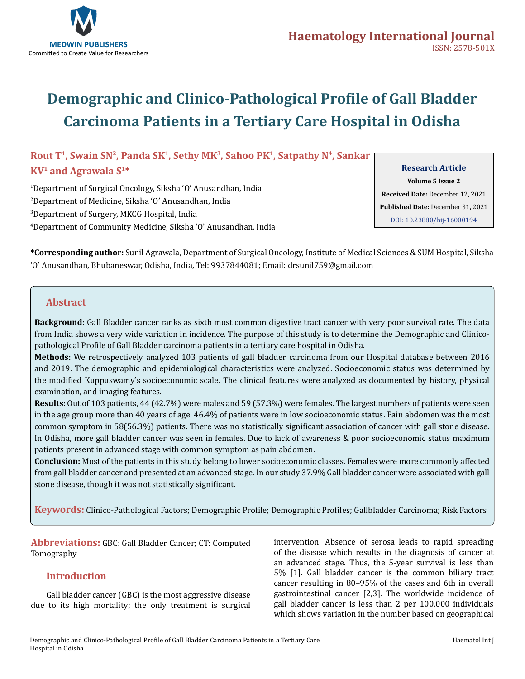

# **Demographic and Clinico-Pathological Profile of Gall Bladder Carcinoma Patients in a Tertiary Care Hospital in Odisha**

# Rout T<sup>1</sup>, Swain SN<sup>2</sup>, Panda SK<sup>1</sup>, Sethy MK<sup>3</sup>, Sahoo PK<sup>1</sup>, Satpathy N<sup>4</sup>, Sankar **KV1 and Agrawala S1\***

 Department of Surgical Oncology, Siksha 'O' Anusandhan, India Department of Medicine, Siksha 'O' Anusandhan, India Department of Surgery, MKCG Hospital, India Department of Community Medicine, Siksha 'O' Anusandhan, India **Research Article**

**Volume 5 Issue 2 Received Date:** December 12, 2021 **Published Date:** December 31, 2021 [DOI: 10.23880/hij-16000194](https://doi.org/10.23880/hij-16000194)

**\*Corresponding author:** Sunil Agrawala, Department of Surgical Oncology, Institute of Medical Sciences & SUM Hospital, Siksha 'O' Anusandhan, Bhubaneswar, Odisha, India, Tel: 9937844081; Email: drsunil759@gmail.com

### **Abstract**

**Background:** Gall Bladder cancer ranks as sixth most common digestive tract cancer with very poor survival rate. The data from India shows a very wide variation in incidence. The purpose of this study is to determine the Demographic and Clinicopathological Profile of Gall Bladder carcinoma patients in a tertiary care hospital in Odisha.

**Methods:** We retrospectively analyzed 103 patients of gall bladder carcinoma from our Hospital database between 2016 and 2019. The demographic and epidemiological characteristics were analyzed. Socioeconomic status was determined by the modified Kuppuswamy's socioeconomic scale. The clinical features were analyzed as documented by history, physical examination, and imaging features.

**Results:** Out of 103 patients, 44 (42.7%) were males and 59 (57.3%) were females. The largest numbers of patients were seen in the age group more than 40 years of age. 46.4% of patients were in low socioeconomic status. Pain abdomen was the most common symptom in 58(56.3%) patients. There was no statistically significant association of cancer with gall stone disease. In Odisha, more gall bladder cancer was seen in females. Due to lack of awareness & poor socioeconomic status maximum patients present in advanced stage with common symptom as pain abdomen.

**Conclusion:** Most of the patients in this study belong to lower socioeconomic classes. Females were more commonly affected from gall bladder cancer and presented at an advanced stage. In our study 37.9% Gall bladder cancer were associated with gall stone disease, though it was not statistically significant.

**Keywords:** Clinico-Pathological Factors; Demographic Profile; Demographic Profiles; Gallbladder Carcinoma; Risk Factors

**Abbreviations:** GBC: Gall Bladder Cancer; CT: Computed Tomography

#### **Introduction**

Gall bladder cancer (GBC) is the most aggressive disease due to its high mortality; the only treatment is surgical intervention. Absence of serosa leads to rapid spreading of the disease which results in the diagnosis of cancer at an advanced stage. Thus, the 5-year survival is less than 5% [1]. Gall bladder cancer is the common biliary tract cancer resulting in 80–95% of the cases and 6th in overall gastrointestinal cancer [2,3]. The worldwide incidence of gall bladder cancer is less than 2 per 100,000 individuals which shows variation in the number based on geographical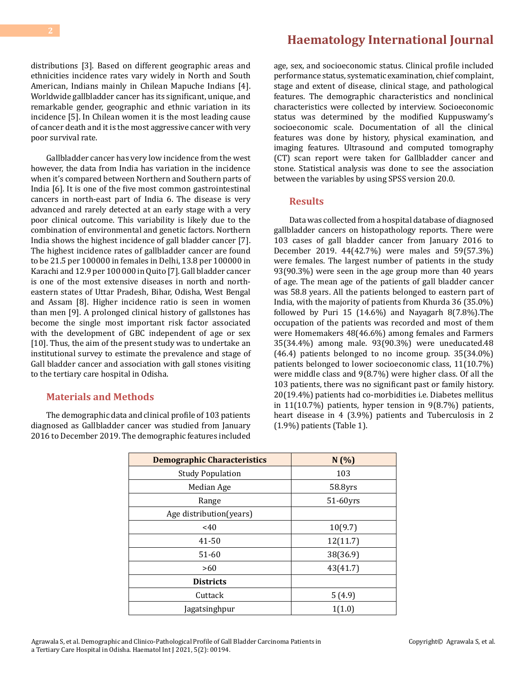distributions [3]. Based on different geographic areas and ethnicities incidence rates vary widely in North and South American, Indians mainly in Chilean Mapuche Indians [4]. Worldwide gallbladder cancer has its significant, unique, and remarkable gender, geographic and ethnic variation in its incidence [5]. In Chilean women it is the most leading cause of cancer death and it is the most aggressive cancer with very poor survival rate.

Gallbladder cancer has very low incidence from the west however, the data from India has variation in the incidence when it's compared between Northern and Southern parts of India [6]. It is one of the five most common gastrointestinal cancers in north-east part of India 6. The disease is very advanced and rarely detected at an early stage with a very poor clinical outcome. This variability is likely due to the combination of environmental and genetic factors. Northern India shows the highest incidence of gall bladder cancer [7]. The highest incidence rates of gallbladder cancer are found to be 21.5 per 100000 in females in Delhi, 13.8 per 100000 in Karachi and 12.9 per 100 000 in Quito [7]. Gall bladder cancer is one of the most extensive diseases in north and northeastern states of Uttar Pradesh, Bihar, Odisha, West Bengal and Assam [8]. Higher incidence ratio is seen in women than men [9]. A prolonged clinical history of gallstones has become the single most important risk factor associated with the development of GBC independent of age or sex [10]. Thus, the aim of the present study was to undertake an institutional survey to estimate the prevalence and stage of Gall bladder cancer and association with gall stones visiting to the tertiary care hospital in Odisha.

#### **Materials and Methods**

The demographic data and clinical profile of 103 patients diagnosed as Gallbladder cancer was studied from January 2016 to December 2019. The demographic features included

## **[Haematology International Journal](https://medwinpublishers.com/HIJ/)**

age, sex, and socioeconomic status. Clinical profile included performance status, systematic examination, chief complaint, stage and extent of disease, clinical stage, and pathological features. The demographic characteristics and nonclinical characteristics were collected by interview. Socioeconomic status was determined by the modified Kuppuswamy's socioeconomic scale. Documentation of all the clinical features was done by history, physical examination, and imaging features. Ultrasound and computed tomography (CT) scan report were taken for Gallbladder cancer and stone. Statistical analysis was done to see the association between the variables by using SPSS version 20.0.

#### **Results**

Data was collected from a hospital database of diagnosed gallbladder cancers on histopathology reports. There were 103 cases of gall bladder cancer from January 2016 to December 2019. 44(42.7%) were males and 59(57.3%) were females. The largest number of patients in the study 93(90.3%) were seen in the age group more than 40 years of age. The mean age of the patients of gall bladder cancer was 58.8 years. All the patients belonged to eastern part of India, with the majority of patients from Khurda 36 (35.0%) followed by Puri 15  $(14.6\%)$  and Nayagarh 8 $(7.8\%)$ . The occupation of the patients was recorded and most of them were Homemakers 48(46.6%) among females and Farmers 35(34.4%) among male. 93(90.3%) were uneducated.48 (46.4) patients belonged to no income group. 35(34.0%) patients belonged to lower socioeconomic class, 11(10.7%) were middle class and 9(8.7%) were higher class. Of all the 103 patients, there was no significant past or family history. 20(19.4%) patients had co-morbidities i.e. Diabetes mellitus in 11(10.7%) patients, hyper tension in 9(8.7%) patients, heart disease in 4 (3.9%) patients and Tuberculosis in 2 (1.9%) patients (Table 1).

| <b>Demographic Characteristics</b> | N(%)     |  |  |
|------------------------------------|----------|--|--|
| <b>Study Population</b>            | 103      |  |  |
| Median Age                         | 58.8yrs  |  |  |
| Range                              | 51-60yrs |  |  |
| Age distribution(years)            |          |  |  |
| < 40                               | 10(9.7)  |  |  |
| 41-50                              | 12(11.7) |  |  |
| 51-60                              | 38(36.9) |  |  |
| >60                                | 43(41.7) |  |  |
| <b>Districts</b>                   |          |  |  |
| Cuttack                            | 5(4.9)   |  |  |
| Jagatsinghpur                      | 1(1.0)   |  |  |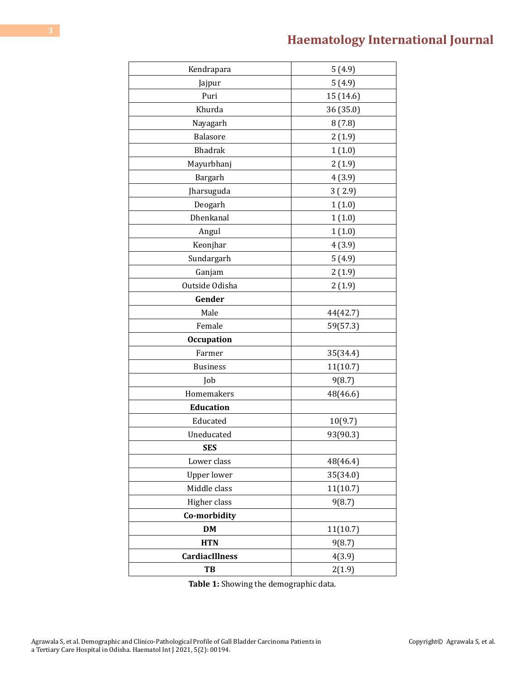| Kendrapara            | 5(4.9)    |  |  |
|-----------------------|-----------|--|--|
| Jajpur                | 5(4.9)    |  |  |
| Puri                  | 15 (14.6) |  |  |
| Khurda                | 36 (35.0) |  |  |
| Nayagarh              | 8(7.8)    |  |  |
| <b>Balasore</b>       | 2(1.9)    |  |  |
| <b>Bhadrak</b>        | 1(1.0)    |  |  |
| Mayurbhanj            | 2(1.9)    |  |  |
| Bargarh               | 4(3.9)    |  |  |
| Jharsuguda            | 3(2.9)    |  |  |
| Deogarh               | 1(1.0)    |  |  |
| Dhenkanal             | 1(1.0)    |  |  |
| Angul                 | 1(1.0)    |  |  |
| Keonjhar              | 4(3.9)    |  |  |
| Sundargarh            | 5(4.9)    |  |  |
| Ganjam                | 2(1.9)    |  |  |
| Outside Odisha        | 2(1.9)    |  |  |
| Gender                |           |  |  |
| Male                  | 44(42.7)  |  |  |
| Female                | 59(57.3)  |  |  |
| <b>Occupation</b>     |           |  |  |
| Farmer                | 35(34.4)  |  |  |
| <b>Business</b>       | 11(10.7)  |  |  |
| Job                   | 9(8.7)    |  |  |
| Homemakers            | 48(46.6)  |  |  |
| <b>Education</b>      |           |  |  |
| Educated              | 10(9.7)   |  |  |
| Uneducated            | 93(90.3)  |  |  |
| <b>SES</b>            |           |  |  |
| Lower class           | 48(46.4)  |  |  |
| <b>Upper lower</b>    | 35(34.0)  |  |  |
| Middle class          | 11(10.7)  |  |  |
| Higher class          | 9(8.7)    |  |  |
| Co-morbidity          |           |  |  |
| <b>DM</b>             | 11(10.7)  |  |  |
| <b>HTN</b>            | 9(8.7)    |  |  |
| <b>CardiacIllness</b> | 4(3.9)    |  |  |
| TB                    | 2(1.9)    |  |  |

**Table 1:** Showing the demographic data.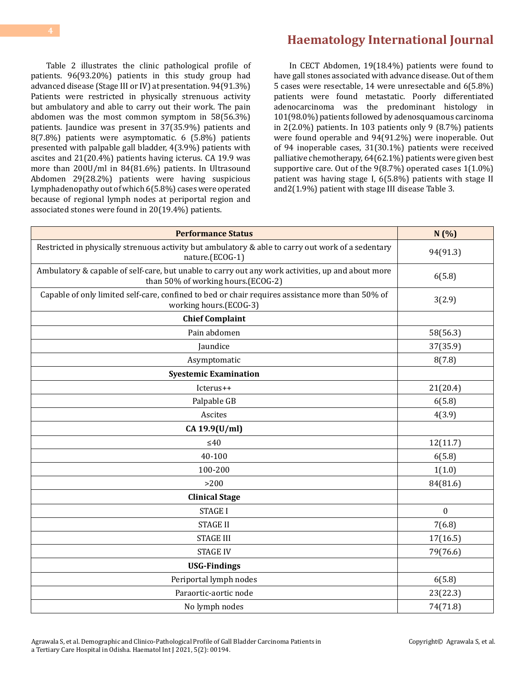Table 2 illustrates the clinic pathological profile of patients. 96(93.20%) patients in this study group had advanced disease (Stage III or IV) at presentation. 94(91.3%) Patients were restricted in physically strenuous activity but ambulatory and able to carry out their work. The pain abdomen was the most common symptom in 58(56.3%) patients. Jaundice was present in 37(35.9%) patients and 8(7.8%) patients were asymptomatic. 6 (5.8%) patients presented with palpable gall bladder, 4(3.9%) patients with ascites and 21(20.4%) patients having icterus. CA 19.9 was more than 200U/ml in 84(81.6%) patients. In Ultrasound Abdomen 29(28.2%) patients were having suspicious Lymphadenopathy out of which 6(5.8%) cases were operated because of regional lymph nodes at periportal region and associated stones were found in 20(19.4%) patients.

In CECT Abdomen, 19(18.4%) patients were found to have gall stones associated with advance disease. Out of them 5 cases were resectable, 14 were unresectable and 6(5.8%) patients were found metastatic. Poorly differentiated adenocarcinoma was the predominant histology in 101(98.0%) patients followed by adenosquamous carcinoma in 2(2.0%) patients. In 103 patients only 9 (8.7%) patients were found operable and 94(91.2%) were inoperable. Out of 94 inoperable cases, 31(30.1%) patients were received palliative chemotherapy, 64(62.1%) patients were given best supportive care. Out of the 9(8.7%) operated cases 1(1.0%) patient was having stage I, 6(5.8%) patients with stage II and2(1.9%) patient with stage III disease Table 3.

| <b>Performance Status</b>                                                                                                               | N(%)         |
|-----------------------------------------------------------------------------------------------------------------------------------------|--------------|
| Restricted in physically strenuous activity but ambulatory & able to carry out work of a sedentary<br>nature.(ECOG-1)                   | 94(91.3)     |
| Ambulatory & capable of self-care, but unable to carry out any work activities, up and about more<br>than 50% of working hours.(ECOG-2) | 6(5.8)       |
| Capable of only limited self-care, confined to bed or chair requires assistance more than 50% of<br>working hours.(ECOG-3)              | 3(2.9)       |
| <b>Chief Complaint</b>                                                                                                                  |              |
| Pain abdomen                                                                                                                            | 58(56.3)     |
| Jaundice                                                                                                                                | 37(35.9)     |
| Asymptomatic                                                                                                                            | 8(7.8)       |
| <b>Syestemic Examination</b>                                                                                                            |              |
| Icterus++                                                                                                                               | 21(20.4)     |
| Palpable GB                                                                                                                             | 6(5.8)       |
| Ascites                                                                                                                                 | 4(3.9)       |
| CA 19.9(U/ml)                                                                                                                           |              |
| $\leq 40$                                                                                                                               | 12(11.7)     |
| 40-100                                                                                                                                  | 6(5.8)       |
| 100-200                                                                                                                                 | 1(1.0)       |
| $>200$                                                                                                                                  | 84(81.6)     |
| <b>Clinical Stage</b>                                                                                                                   |              |
| <b>STAGE I</b>                                                                                                                          | $\mathbf{0}$ |
| <b>STAGE II</b>                                                                                                                         | 7(6.8)       |
| <b>STAGE III</b>                                                                                                                        | 17(16.5)     |
| <b>STAGE IV</b>                                                                                                                         | 79(76.6)     |
| <b>USG-Findings</b>                                                                                                                     |              |
| Periportal lymph nodes                                                                                                                  | 6(5.8)       |
| Paraortic-aortic node                                                                                                                   | 23(22.3)     |
| No lymph nodes                                                                                                                          | 74(71.8)     |

Agrawala S, et al. Demographic and Clinico-Pathological Profile of Gall Bladder Carcinoma Patients in a Tertiary Care Hospital in Odisha. Haematol Int J 2021, 5(2): 00194.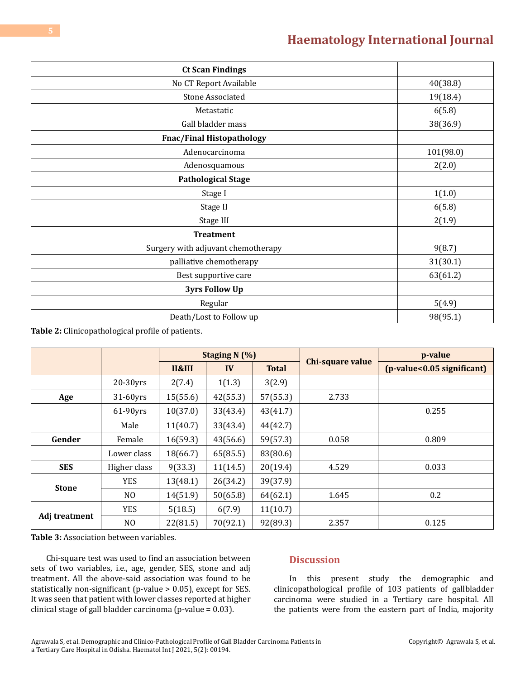| <b>Ct Scan Findings</b>            |           |
|------------------------------------|-----------|
| No CT Report Available             | 40(38.8)  |
| <b>Stone Associated</b>            | 19(18.4)  |
| Metastatic                         | 6(5.8)    |
| Gall bladder mass                  | 38(36.9)  |
| <b>Fnac/Final Histopathology</b>   |           |
| Adenocarcinoma                     | 101(98.0) |
| Adenosquamous                      | 2(2.0)    |
| <b>Pathological Stage</b>          |           |
| Stage I                            | 1(1.0)    |
| Stage II                           | 6(5.8)    |
| Stage III                          | 2(1.9)    |
| <b>Treatment</b>                   |           |
| Surgery with adjuvant chemotherapy | 9(8.7)    |
| palliative chemotherapy            | 31(30.1)  |
| Best supportive care               | 63(61.2)  |
| <b>3yrs Follow Up</b>              |           |
| Regular                            | 5(4.9)    |
| Death/Lost to Follow up            | 98(95.1)  |

**Table 2:** Clinicopathological profile of patients.

|               |                | Staging N (%) |          |              |                  | p-value                    |
|---------------|----------------|---------------|----------|--------------|------------------|----------------------------|
|               |                | II&III        | IV       | <b>Total</b> | Chi-square value | (p-value<0.05 significant) |
|               | 20-30yrs       | 2(7.4)        | 1(1.3)   | 3(2.9)       |                  |                            |
| Age           | 31-60yrs       | 15(55.6)      | 42(55.3) | 57(55.3)     | 2.733            |                            |
|               | 61-90yrs       | 10(37.0)      | 33(43.4) | 43(41.7)     |                  | 0.255                      |
|               | Male           | 11(40.7)      | 33(43.4) | 44(42.7)     |                  |                            |
| Gender        | Female         | 16(59.3)      | 43(56.6) | 59(57.3)     | 0.058            | 0.809                      |
|               | Lower class    | 18(66.7)      | 65(85.5) | 83(80.6)     |                  |                            |
| <b>SES</b>    | Higher class   | 9(33.3)       | 11(14.5) | 20(19.4)     | 4.529            | 0.033                      |
| <b>Stone</b>  | <b>YES</b>     | 13(48.1)      | 26(34.2) | 39(37.9)     |                  |                            |
|               | N <sub>O</sub> | 14(51.9)      | 50(65.8) | 64(62.1)     | 1.645            | 0.2                        |
| Adj treatment | <b>YES</b>     | 5(18.5)       | 6(7.9)   | 11(10.7)     |                  |                            |
|               | N <sub>O</sub> | 22(81.5)      | 70(92.1) | 92(89.3)     | 2.357            | 0.125                      |

**Table 3:** Association between variables.

Chi-square test was used to find an association between sets of two variables, i.e., age, gender, SES, stone and adj treatment. All the above-said association was found to be statistically non-significant (p-value > 0.05), except for SES. It was seen that patient with lower classes reported at higher clinical stage of gall bladder carcinoma (p-value = 0.03).

#### **Discussion**

In this present study the demographic and clinicopathological profile of 103 patients of gallbladder carcinoma were studied in a Tertiary care hospital. All the patients were from the eastern part of India, majority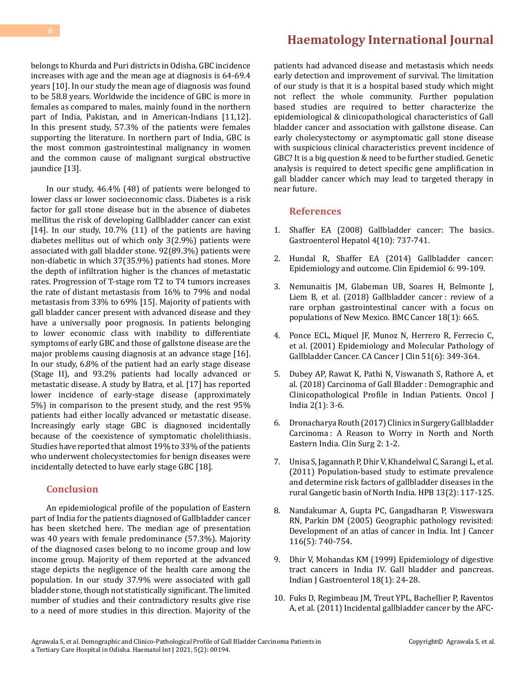belongs to Khurda and Puri districts in Odisha. GBC incidence increases with age and the mean age at diagnosis is 64-69.4 years [10]. In our study the mean age of diagnosis was found to be 58.8 years. Worldwide the incidence of GBC is more in females as compared to males, mainly found in the northern part of India, Pakistan, and in American-Indians [11,12]. In this present study, 57.3% of the patients were females supporting the literature. In northern part of India, GBC is the most common gastrointestinal malignancy in women and the common cause of malignant surgical obstructive jaundice [13].

In our study, 46.4% (48) of patients were belonged to lower class or lower socioeconomic class. Diabetes is a risk factor for gall stone disease but in the absence of diabetes mellitus the risk of developing Gallbladder cancer can exist [14]. In our study, 10.7% (11) of the patients are having diabetes mellitus out of which only 3(2.9%) patients were associated with gall bladder stone. 92(89.3%) patients were non-diabetic in which 37(35.9%) patients had stones. More the depth of infiltration higher is the chances of metastatic rates. Progression of T-stage rom T2 to T4 tumors increases the rate of distant metastasis from 16% to 79% and nodal metastasis from 33% to 69% [15]. Majority of patients with gall bladder cancer present with advanced disease and they have a universally poor prognosis. In patients belonging to lower economic class with inability to differentiate symptoms of early GBC and those of gallstone disease are the major problems causing diagnosis at an advance stage [16]. In our study, 6.8% of the patient had an early stage disease (Stage II), and 93.2% patients had locally advanced or metastatic disease. A study by Batra, et al. [17] has reported lower incidence of early-stage disease (approximately 5%) in comparison to the present study, and the rest 95% patients had either locally advanced or metastatic disease. Increasingly early stage GBC is diagnosed incidentally because of the coexistence of symptomatic cholelithiasis. Studies have reported that almost 19% to 33% of the patients who underwent cholecystectomies for benign diseases were incidentally detected to have early stage GBC [18].

#### **Conclusion**

An epidemiological profile of the population of Eastern part of India for the patients diagnosed of Gallbladder cancer has been sketched here. The median age of presentation was 40 years with female predominance (57.3%). Majority of the diagnosed cases belong to no income group and low income group. Majority of them reported at the advanced stage depicts the negligence of the health care among the population. In our study 37.9% were associated with gall bladder stone, though not statistically significant. The limited number of studies and their contradictory results give rise to a need of more studies in this direction. Majority of the

## **[Haematology International Journal](https://medwinpublishers.com/HIJ/)**

patients had advanced disease and metastasis which needs early detection and improvement of survival. The limitation of our study is that it is a hospital based study which might not reflect the whole community. Further population based studies are required to better characterize the epidemiological & clinicopathological characteristics of Gall bladder cancer and association with gallstone disease. Can early cholecystectomy or asymptomatic gall stone disease with suspicious clinical characteristics prevent incidence of GBC? It is a big question & need to be further studied. Genetic analysis is required to detect specific gene amplification in gall bladder cancer which may lead to targeted therapy in near future.

#### **References**

- 1. [Shaffer EA \(2008\) Gallbladder cancer: The basics.](https://pubmed.ncbi.nlm.nih.gov/21960896/) [Gastroenterol Hepatol 4\(10\): 737-741.](https://pubmed.ncbi.nlm.nih.gov/21960896/)
- 2. [Hundal R, Shaffer EA \(2014\) Gallbladder cancer:](https://pubmed.ncbi.nlm.nih.gov/24634588/) [Epidemiology and outcome. Clin Epidemiol 6: 99-109.](https://pubmed.ncbi.nlm.nih.gov/24634588/)
- 3. [Nemunaitis JM, Glabeman UB, Soares H, Belmonte J,](https://pubmed.ncbi.nlm.nih.gov/29914418/) [Liem B, et al. \(2018\) Gallbladder cancer : review of a](https://pubmed.ncbi.nlm.nih.gov/29914418/)  [rare orphan gastrointestinal cancer with a focus on](https://pubmed.ncbi.nlm.nih.gov/29914418/)  [populations of New Mexico. BMC Cancer 18\(1\): 665.](https://pubmed.ncbi.nlm.nih.gov/29914418/)
- 4. [Ponce ECL, Miquel JF, Munoz N, Herrero R, Ferrecio C,](https://pubmed.ncbi.nlm.nih.gov/11760569/) [et al. \(2001\) Epidemiology and Molecular Pathology of](https://pubmed.ncbi.nlm.nih.gov/11760569/) [Gallbladder Cancer. CA Cancer J Clin 51\(6\): 349-364.](https://pubmed.ncbi.nlm.nih.gov/11760569/)
- 5. [Dubey AP, Rawat K, Pathi N, Viswanath S, Rathore A, et](https://www.ojionline.org/article.asp?issn=2589-1871;year=2018;volume=2;issue=1;spage=3;epage=6;aulast=Dubey;type=0)  [al. \(2018\) Carcinoma of Gall Bladder : Demographic and](https://www.ojionline.org/article.asp?issn=2589-1871;year=2018;volume=2;issue=1;spage=3;epage=6;aulast=Dubey;type=0) [Clinicopathological Profile in Indian Patients. Oncol J](https://www.ojionline.org/article.asp?issn=2589-1871;year=2018;volume=2;issue=1;spage=3;epage=6;aulast=Dubey;type=0) [India 2\(1\): 3-6.](https://www.ojionline.org/article.asp?issn=2589-1871;year=2018;volume=2;issue=1;spage=3;epage=6;aulast=Dubey;type=0)
- 6. Dronacharya Routh (2017) Clinics in Surgery Gallbladder Carcinoma : A Reason to Worry in North and North Eastern India. Clin Surg 2: 1-2.
- 7. [Unisa S, Jagannath P, Dhir V, Khandelwal C, Sarangi L, et al.](https://pubmed.ncbi.nlm.nih.gov/21241429/)  [\(2011\) Population-based study to estimate prevalence](https://pubmed.ncbi.nlm.nih.gov/21241429/)  [and determine risk factors of gallbladder diseases in the](https://pubmed.ncbi.nlm.nih.gov/21241429/) [rural Gangetic basin of North India. HPB 13\(2\): 117-125.](https://pubmed.ncbi.nlm.nih.gov/21241429/)
- 8. [Nandakumar A, Gupta PC, Gangadharan P, Visweswara](https://pubmed.ncbi.nlm.nih.gov/15849747/)  [RN, Parkin DM \(2005\) Geographic pathology revisited:](https://pubmed.ncbi.nlm.nih.gov/15849747/) [Development of an atlas of cancer in India. Int J Cancer](https://pubmed.ncbi.nlm.nih.gov/15849747/) [116\(5\): 740-754.](https://pubmed.ncbi.nlm.nih.gov/15849747/)
- 9. [Dhir V, Mohandas KM \(1999\) Epidemiology of digestive](https://pubmed.ncbi.nlm.nih.gov/10063743/)  [tract cancers in India IV. Gall bladder and pancreas.](https://pubmed.ncbi.nlm.nih.gov/10063743/)  [Indian J Gastroenterol 18\(1\): 24-28.](https://pubmed.ncbi.nlm.nih.gov/10063743/)
- 10. [Fuks D, Regimbeau JM, Treut YPL, Bachellier P, Raventos](https://pubmed.ncbi.nlm.nih.gov/21547420/) [A, et al. \(2011\) Incidental gallbladder cancer by the AFC-](https://pubmed.ncbi.nlm.nih.gov/21547420/)